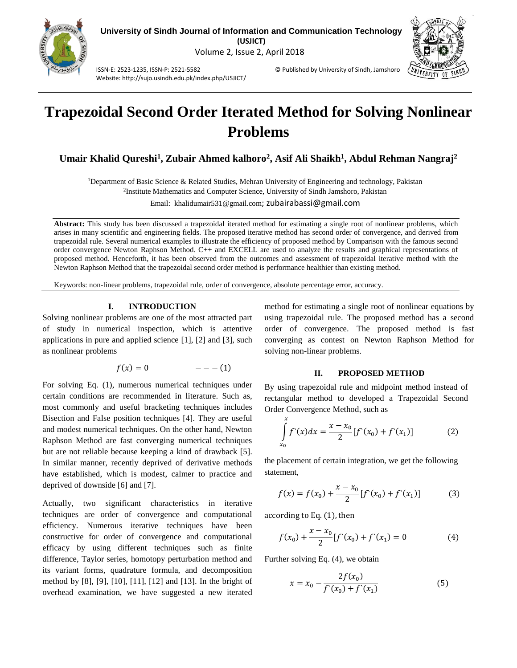



ISSN-E: 2523-1235, ISSN-P: 2521-5582 © Published by University of Sindh, Jamshoro

# **Trapezoidal Second Order Iterated Method for Solving Nonlinear Problems**

**Umair Khalid Qureshi<sup>1</sup> , Zubair Ahmed kalhoro<sup>2</sup> , Asif Ali Shaikh<sup>1</sup> , Abdul Rehman Nangraj<sup>2</sup>**

<sup>1</sup>Department of Basic Science & Related Studies, Mehran University of Engineering and technology, Pakistan

2 Institute Mathematics and Computer Science, University of Sindh Jamshoro, Pakistan

Email: khalidumair531@gmail.com; zubairabassi@gmail.com

**Abstract:** This study has been discussed a trapezoidal iterated method for estimating a single root of nonlinear problems, which arises in many scientific and engineering fields. The proposed iterative method has second order of convergence, and derived from trapezoidal rule. Several numerical examples to illustrate the efficiency of proposed method by Comparison with the famous second order convergence Newton Raphson Method. C++ and EXCELL are used to analyze the results and graphical representations of proposed method. Henceforth, it has been observed from the outcomes and assessment of trapezoidal iterative method with the Newton Raphson Method that the trapezoidal second order method is performance healthier than existing method.

Keywords: non-linear problems, trapezoidal rule, order of convergence, absolute percentage error, accuracy.

# **I. INTRODUCTION**

Website: http://sujo.usindh.edu.pk/index.php/USJICT/

Solving nonlinear problems are one of the most attracted part of study in numerical inspection, which is attentive applications in pure and applied science [1], [2] and [3], such as nonlinear problems

$$
f(x) = 0 \qquad \qquad ---(1)
$$

For solving Eq. (1), numerous numerical techniques under certain conditions are recommended in literature. Such as, most commonly and useful bracketing techniques includes Bisection and False position techniques [4]. They are useful and modest numerical techniques. On the other hand, Newton Raphson Method are fast converging numerical techniques but are not reliable because keeping a kind of drawback [5]. In similar manner, recently deprived of derivative methods have established, which is modest, calmer to practice and deprived of downside [6] and [7].

Actually, two significant characteristics in iterative techniques are order of convergence and computational efficiency. Numerous iterative techniques have been constructive for order of convergence and computational efficacy by using different techniques such as finite difference, Taylor series, homotopy perturbation method and its variant forms, quadrature formula, and decomposition method by [8], [9], [10], [11], [12] and [13]. In the bright of overhead examination, we have suggested a new iterated method for estimating a single root of nonlinear equations by using trapezoidal rule. The proposed method has a second order of convergence. The proposed method is fast converging as contest on Newton Raphson Method for solving non-linear problems.

## **II. PROPOSED METHOD**

By using trapezoidal rule and midpoint method instead of rectangular method to developed a Trapezoidal Second Order Convergence Method, such as

$$
\int_{x_0}^{x} f(x)dx = \frac{x - x_0}{2} [f'(x_0) + f'(x_1)] \tag{2}
$$

the placement of certain integration, we get the following statement,

$$
f(x) = f(x_0) + \frac{x - x_0}{2} [f'(x_0) + f'(x_1)] \tag{3}
$$

according to Eq.  $(1)$ , then

$$
f(x_0) + \frac{x - x_0}{2} [f'(x_0) + f'(x_1) = 0 \tag{4}
$$

Further solving Eq. (4), we obtain

$$
x = x_0 - \frac{2f(x_0)}{f'(x_0) + f'(x_1)}\tag{5}
$$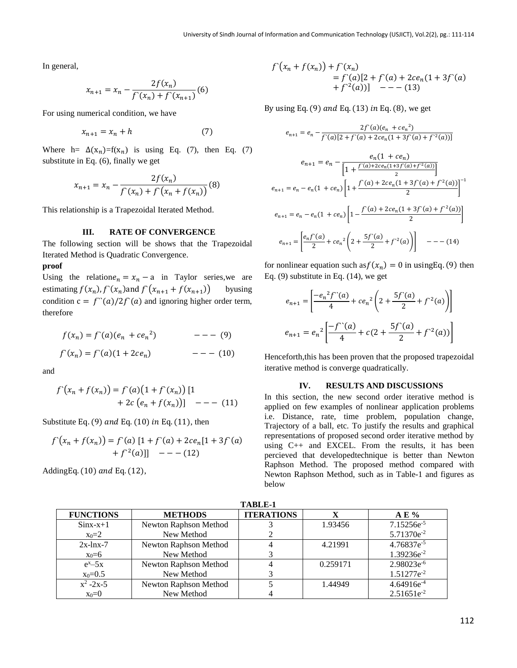In general,

$$
x_{n+1} = x_n - \frac{2f(x_n)}{f'(x_n) + f'(x_{n+1})} (6)
$$

For using numerical condition, we have

$$
x_{n+1} = x_n + h \tag{7}
$$

Where h=  $\Delta(x_n)$ =f(x<sub>n</sub>) is using Eq. (7), then Eq. (7) substitute in Eq. (6), finally we get

$$
x_{n+1} = x_n - \frac{2f(x_n)}{f'(x_n) + f'(x_n + f(x_n))}
$$
(8)

This relationship is a Trapezoidal Iterated Method.

## **III. RATE OF CONVERGENCE**

The following section will be shows that the Trapezoidal Iterated Method is Quadratic Convergence.

#### **proof**

Using the relation  $e_n = x_n - a$  in Taylor series, we are estimating  $f(x_n)$ ,  $f'(x_n)$  and  $f'(x_{n+1} + f(x_{n+1}))$ )) byusing condition  $c = f'(a)/2f'(a)$  and ignoring higher order term, therefore

$$
f(x_n) = f'(a)(e_n + ce_n2)
$$
 --- (9)  

$$
f'(x_n) = f'(a)(1 + 2ce_n)
$$
 --- (10)

and

$$
f'(x_n + f(x_n)) = f'(a)(1 + f'(x_n)) [1 + 2c (e_n + f(x_n))] \t - - (11)
$$

Substitute Eq. (9) and Eq. (10) in Eq. (11), then

$$
f'(x_n + f(x_n)) = f'(a) [1 + f'(a) + 2ce_n[1 + 3f'(a) + f^{2}(a)]] - - - (12)
$$

AddingEq.  $(10)$  and Eq.  $(12)$ ,

$$
f'(x_n + f(x_n)) + f'(x_n)
$$
  
=  $f'(a)[2 + f'(a) + 2ce_n(1 + 3f'(a)) + f^{2}(a)] - - (13)$ 

By using Eq. (9) and Eq. (13) in Eq. (8), we get

$$
e_{n+1} = e_n - \frac{2f'(a)(e_n + ce_n^2)}{f'(a)[2 + f'(a) + 2ce_n(1 + 3f'(a) + f'(a))]}
$$
  
\n
$$
e_{n+1} = e_n - \frac{e_n(1 + ce_n)}{[1 + \frac{f'(a) + 2ce_n(1 + 3f'(a) + f'(a))}{2}]} \\
e_{n+1} = e_n - e_n(1 + ce_n) \left[1 + \frac{f'(a) + 2ce_n(1 + 3f'(a) + f'(a))}{2}\right]^{1}
$$
  
\n
$$
e_{n+1} = e_n - e_n(1 + ce_n) \left[1 - \frac{f'(a) + 2ce_n(1 + 3f'(a) + f'(a))}{2}\right]^{1}
$$
  
\n
$$
e_{n+1} = \left[\frac{e_n f'(a)}{2} + ce_n^2 \left(2 + \frac{5f'(a)}{2} + f'(a)\right)\right]^{1} - \dots
$$
 (14)

for nonlinear equation such as  $f(x_n) = 0$  in using Eq. (9) then Eq. (9) substitute in Eq. (14), we get

$$
e_{n+1} = \left[ \frac{-e_n^2 f^{\prime\prime}(a)}{4} + ce_n^2 \left( 2 + \frac{5f^{\prime}(a)}{2} + f^2(a) \right) \right]
$$
  

$$
e_{n+1} = e_n^2 \left[ \frac{-f^{\prime\prime}(a)}{4} + c \left( 2 + \frac{5f^{\prime}(a)}{2} + f^2(a) \right) \right]
$$

Henceforth,this has been proven that the proposed trapezoidal iterative method is converge quadratically.

#### **IV. RESULTS AND DISCUSSIONS**

In this section, the new second order iterative method is applied on few examples of nonlinear application problems i.e. Distance, rate, time problem, population change, Trajectory of a ball, etc. To justify the results and graphical representations of proposed second order iterative method by using C++ and EXCEL. From the results, it has been percieved that developedtechnique is better than Newton Raphson Method. The proposed method compared with Newton Raphson Method, such as in Table-1 and figures as below

| тарсет           |                       |                   |          |                        |  |  |
|------------------|-----------------------|-------------------|----------|------------------------|--|--|
| <b>FUNCTIONS</b> | <b>METHODS</b>        | <b>ITERATIONS</b> |          | $A E \%$               |  |  |
| $Sinx-x+1$       | Newton Raphson Method |                   | 1.93456  | 7.15256e <sup>-5</sup> |  |  |
| $x_0=2$          | New Method            |                   |          | 5.71370e <sup>-2</sup> |  |  |
| $2x$ -lnx-7      | Newton Raphson Method |                   | 4.21991  | 4.76837e <sup>-5</sup> |  |  |
| $x_0=6$          | New Method            |                   |          | $1.39236e^{-2}$        |  |  |
| $e^{x}-5x$       | Newton Raphson Method |                   | 0.259171 | 2.98023e <sup>-6</sup> |  |  |
| $x_0 = 0.5$      | New Method            |                   |          | 1.51277e <sup>-2</sup> |  |  |
| $x^2 - 2x - 5$   | Newton Raphson Method |                   | 1.44949  | $4.64916e^{-4}$        |  |  |
| $x_0=0$          | New Method            |                   |          | $2.51651e^{-2}$        |  |  |

**TABLE-1**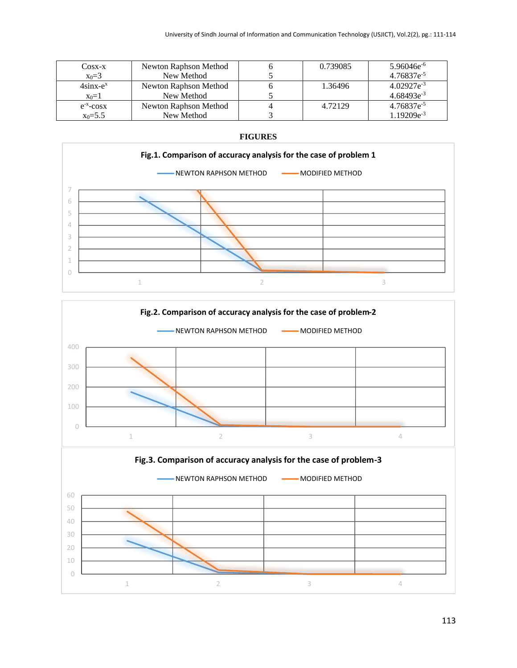| Cosx-x              | Newton Raphson Method | 0.739085 | $5.96046e^{-6}$ |
|---------------------|-----------------------|----------|-----------------|
| $x_0 = 3$           | New Method            |          | $4.76837e^{-5}$ |
| $4\sin x-e^x$       | Newton Raphson Method | 1.36496  | $4.02927e^{-3}$ |
| $x_0=1$             | New Method            |          | $4.68493e^{-3}$ |
| $e^{-x}$ - $\cos x$ | Newton Raphson Method | 4.72129  | $4.76837e^{-5}$ |
| $x_0 = 5.5$         | New Method            |          | $1.19209e^{-3}$ |





# **FIGURES**